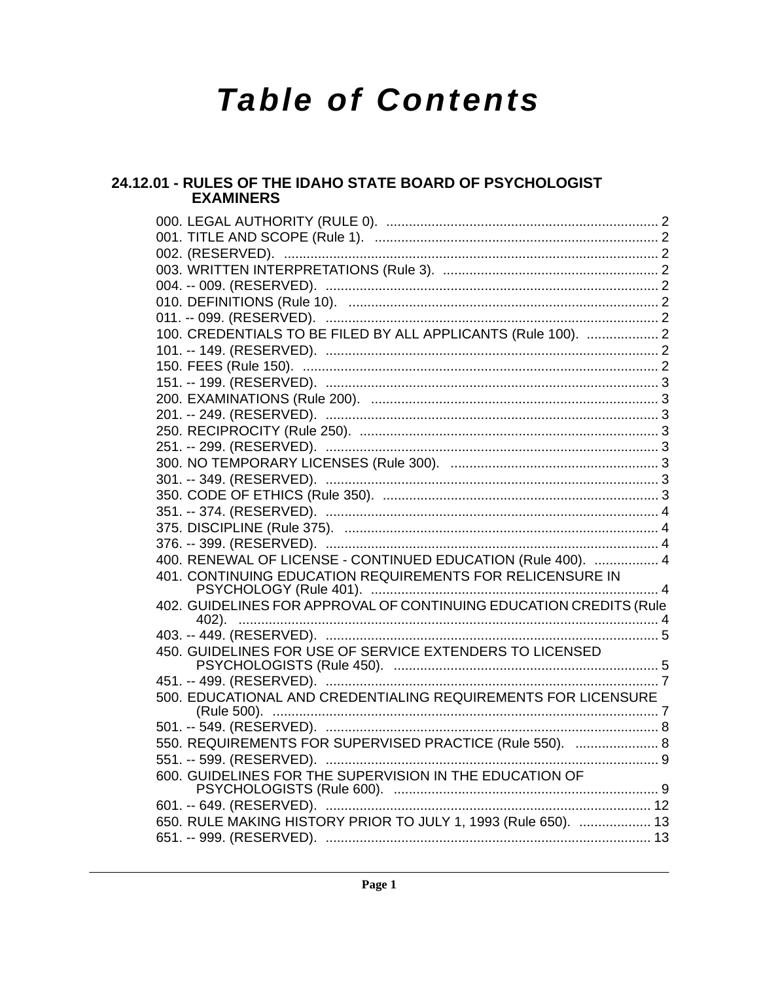# **Table of Contents**

# 24.12.01 - RULES OF THE IDAHO STATE BOARD OF PSYCHOLOGIST **EXAMINERS**

| 100. CREDENTIALS TO BE FILED BY ALL APPLICANTS (Rule 100).  2      |  |
|--------------------------------------------------------------------|--|
|                                                                    |  |
|                                                                    |  |
|                                                                    |  |
|                                                                    |  |
|                                                                    |  |
|                                                                    |  |
|                                                                    |  |
|                                                                    |  |
|                                                                    |  |
|                                                                    |  |
|                                                                    |  |
|                                                                    |  |
|                                                                    |  |
| 400. RENEWAL OF LICENSE - CONTINUED EDUCATION (Rule 400).  4       |  |
| 401. CONTINUING EDUCATION REQUIREMENTS FOR RELICENSURE IN          |  |
| 402. GUIDELINES FOR APPROVAL OF CONTINUING EDUCATION CREDITS (Rule |  |
|                                                                    |  |
|                                                                    |  |
| 450. GUIDELINES FOR USE OF SERVICE EXTENDERS TO LICENSED           |  |
|                                                                    |  |
|                                                                    |  |
| 500. EDUCATIONAL AND CREDENTIALING REQUIREMENTS FOR LICENSURE      |  |
|                                                                    |  |
| 550. REQUIREMENTS FOR SUPERVISED PRACTICE (Rule 550).  8           |  |
|                                                                    |  |
| 600. GUIDELINES FOR THE SUPERVISION IN THE EDUCATION OF            |  |
|                                                                    |  |
|                                                                    |  |
| 650. RULE MAKING HISTORY PRIOR TO JULY 1, 1993 (Rule 650).  13     |  |
|                                                                    |  |
|                                                                    |  |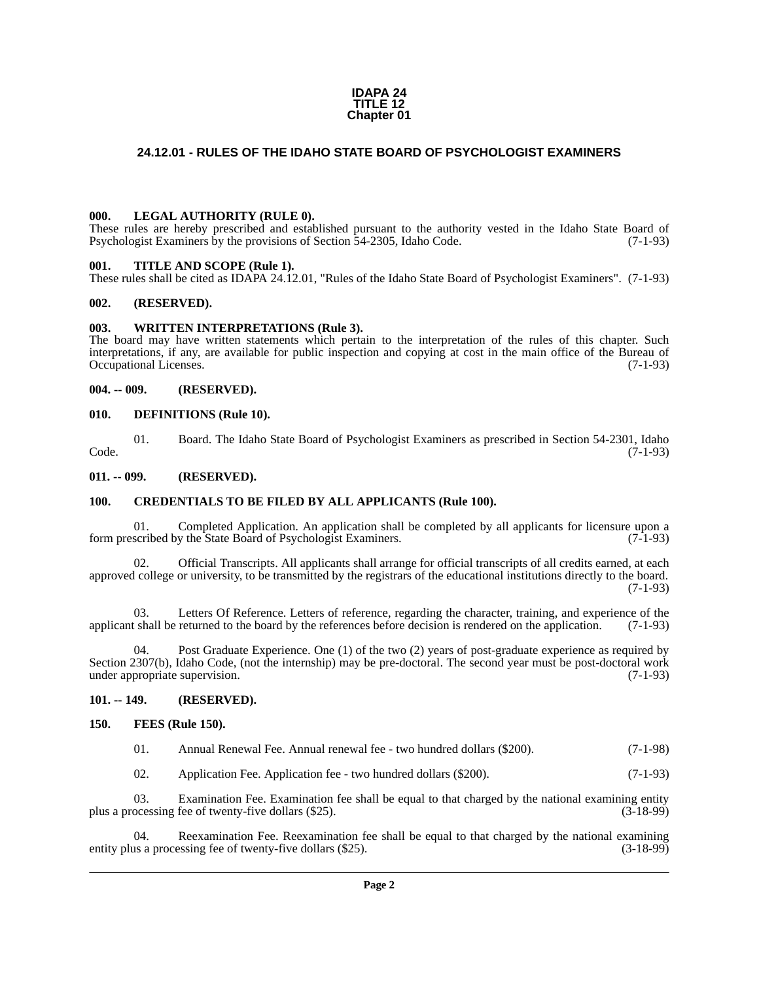#### **IDAPA 24 TITLE 12 Chapter 01**

# <span id="page-1-0"></span>**24.12.01 - RULES OF THE IDAHO STATE BOARD OF PSYCHOLOGIST EXAMINERS**

#### <span id="page-1-1"></span>**000. LEGAL AUTHORITY (RULE 0).**

These rules are hereby prescribed and established pursuant to the authority vested in the Idaho State Board of Psychologist Examiners by the provisions of Section 54-2305, Idaho Code. (7-1-93)

#### <span id="page-1-2"></span>**001. TITLE AND SCOPE (Rule 1).**

These rules shall be cited as IDAPA 24.12.01, "Rules of the Idaho State Board of Psychologist Examiners". (7-1-93)

#### <span id="page-1-3"></span>**002. (RESERVED).**

#### <span id="page-1-4"></span>**003. WRITTEN INTERPRETATIONS (Rule 3).**

The board may have written statements which pertain to the interpretation of the rules of this chapter. Such interpretations, if any, are available for public inspection and copying at cost in the main office of the Bureau of Occupational Licenses. (7-1-93)

#### <span id="page-1-5"></span>**004. -- 009. (RESERVED).**

#### <span id="page-1-6"></span>**010. DEFINITIONS (Rule 10).**

01. Board. The Idaho State Board of Psychologist Examiners as prescribed in Section 54-2301, Idaho Code. (7-1-93)

#### <span id="page-1-7"></span>**011. -- 099. (RESERVED).**

#### <span id="page-1-8"></span>**100. CREDENTIALS TO BE FILED BY ALL APPLICANTS (Rule 100).**

01. Completed Application. An application shall be completed by all applicants for licensure upon a scribed by the State Board of Psychologist Examiners. (7-1-93) form prescribed by the State Board of Psychologist Examiners.

02. Official Transcripts. All applicants shall arrange for official transcripts of all credits earned, at each approved college or university, to be transmitted by the registrars of the educational institutions directly to the board.  $(7-1-93)$ 

03. Letters Of Reference. Letters of reference, regarding the character, training, and experience of the shall be returned to the board by the references before decision is rendered on the application. (7-1-93) applicant shall be returned to the board by the references before decision is rendered on the application.

Post Graduate Experience. One (1) of the two (2) years of post-graduate experience as required by Section 2307(b), Idaho Code, (not the internship) may be pre-doctoral. The second year must be post-doctoral work under appropriate supervision. (7-1-93) under appropriate supervision.

#### <span id="page-1-9"></span>**101. -- 149. (RESERVED).**

#### <span id="page-1-10"></span>**150. FEES (Rule 150).**

| 01. | Annual Renewal Fee. Annual renewal fee - two hundred dollars (\$200). |  |  |  | $(7-1-98)$ |
|-----|-----------------------------------------------------------------------|--|--|--|------------|
|-----|-----------------------------------------------------------------------|--|--|--|------------|

02. Application Fee. Application fee - two hundred dollars (\$200). (7-1-93)

03. Examination Fee. Examination fee shall be equal to that charged by the national examining entity ocessing fee of twenty-five dollars (\$25). (3-18-99) plus a processing fee of twenty-five dollars (\$25).

Reexamination Fee. Reexamination fee shall be equal to that charged by the national examining entity plus a processing fee of twenty-five dollars (\$25). (3-18-99)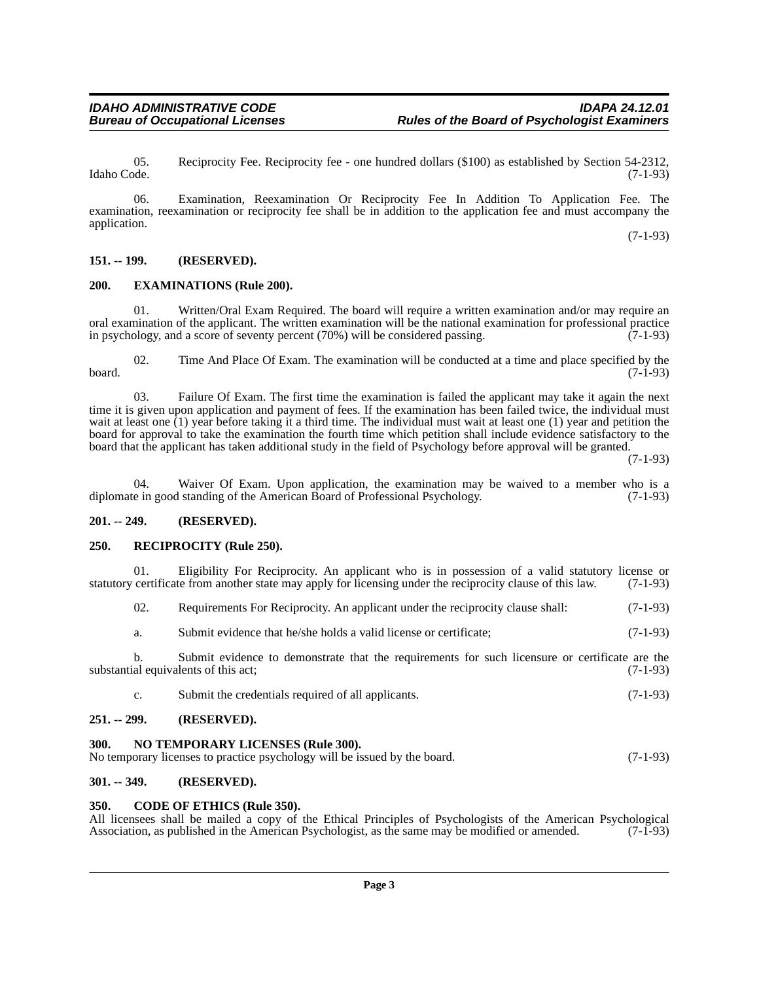05. Reciprocity Fee. Reciprocity fee - one hundred dollars (\$100) as established by Section 54-2312, Idaho Code. (7-1-93)

06. Examination, Reexamination Or Reciprocity Fee In Addition To Application Fee. The examination, reexamination or reciprocity fee shall be in addition to the application fee and must accompany the application.

(7-1-93)

### <span id="page-2-0"></span>**151. -- 199. (RESERVED).**

### <span id="page-2-1"></span>**200. EXAMINATIONS (Rule 200).**

Written/Oral Exam Required. The board will require a written examination and/or may require an oral examination of the applicant. The written examination will be the national examination for professional practice<br>in psychology, and a score of seventy percent (70%) will be considered passing. (7-1-93) in psychology, and a score of seventy percent  $(70%)$  will be considered passing.

02. Time And Place Of Exam. The examination will be conducted at a time and place specified by the board. (7-1-93)

03. Failure Of Exam. The first time the examination is failed the applicant may take it again the next time it is given upon application and payment of fees. If the examination has been failed twice, the individual must wait at least one  $(1)$  year before taking it a third time. The individual must wait at least one  $(1)$  year and petition the board for approval to take the examination the fourth time which petition shall include evidence satisfactory to the board that the applicant has taken additional study in the field of Psychology before approval will be granted.

(7-1-93)

04. Waiver Of Exam. Upon application, the examination may be waived to a member who is a e in good standing of the American Board of Professional Psychology.  $(7-1-93)$ diplomate in good standing of the American Board of Professional Psychology.

#### <span id="page-2-2"></span>**201. -- 249. (RESERVED).**

#### <span id="page-2-3"></span>**250. RECIPROCITY (Rule 250).**

01. Eligibility For Reciprocity. An applicant who is in possession of a valid statutory license or certificate from another state may apply for licensing under the reciprocity clause of this law. (7-1-93) statutory certificate from another state may apply for licensing under the reciprocity clause of this law.

| 02. | Requirements For Reciprocity. An applicant under the reciprocity clause shall: |  |  | $(7-1-93)$ |
|-----|--------------------------------------------------------------------------------|--|--|------------|
|     |                                                                                |  |  |            |

a. Submit evidence that he/she holds a valid license or certificate; (7-1-93)

b. Submit evidence to demonstrate that the requirements for such licensure or certificate are the substantial equivalents of this act; (7-1-93)

c. Submit the credentials required of all applicants. (7-1-93)

### <span id="page-2-4"></span>**251. -- 299. (RESERVED).**

<span id="page-2-5"></span>

| 300 | <b>NO TEMPORARY LICENSES (Rule 300).</b>                                  |            |
|-----|---------------------------------------------------------------------------|------------|
|     | No temporary licenses to practice psychology will be issued by the board. | $(7-1-93)$ |

#### <span id="page-2-6"></span>**301. -- 349. (RESERVED).**

#### <span id="page-2-7"></span>**350. CODE OF ETHICS (Rule 350).**

All licensees shall be mailed a copy of the Ethical Principles of Psychologists of the American Psychological Association, as published in the American Psychologist, as the same may be modified or amended. (7-1-93) Association, as published in the American Psychologist, as the same may be modified or amended.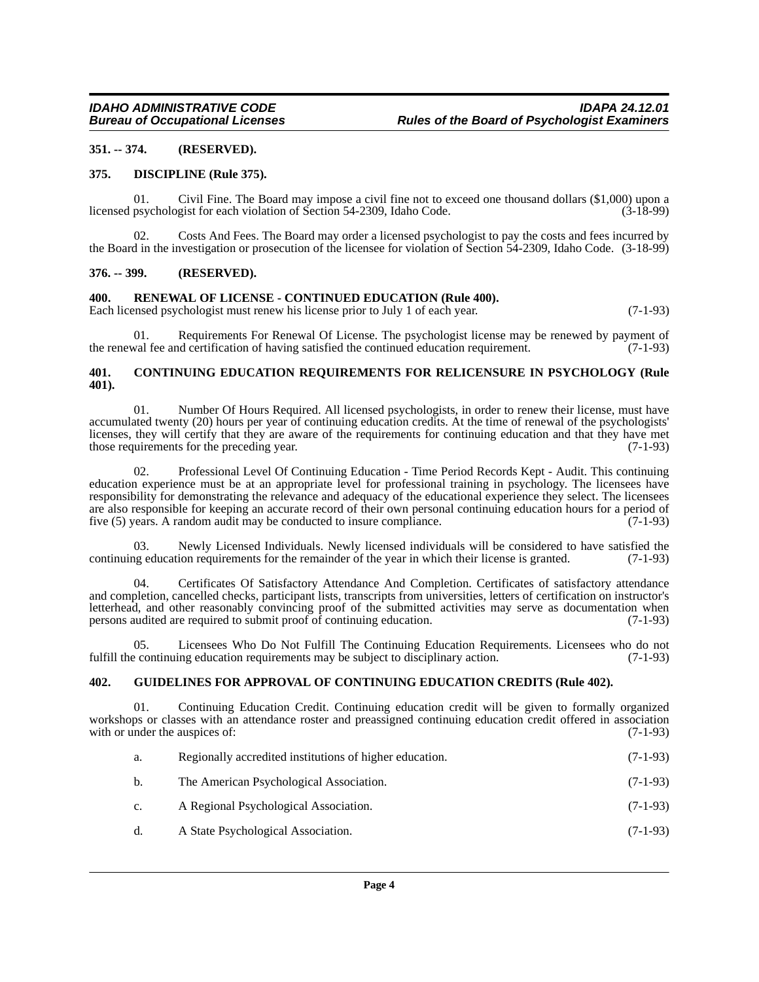### <span id="page-3-0"></span>**351. -- 374. (RESERVED).**

#### <span id="page-3-1"></span>**375. DISCIPLINE (Rule 375).**

01. Civil Fine. The Board may impose a civil fine not to exceed one thousand dollars (\$1,000) upon a psychologist for each violation of Section 54-2309, Idaho Code. (3-18-99) licensed psychologist for each violation of Section 54-2309, Idaho Code.

02. Costs And Fees. The Board may order a licensed psychologist to pay the costs and fees incurred by the Board in the investigation or prosecution of the licensee for violation of Section 54-2309, Idaho Code. (3-18-99)

#### <span id="page-3-2"></span>**376. -- 399. (RESERVED).**

#### <span id="page-3-3"></span>**400. RENEWAL OF LICENSE - CONTINUED EDUCATION (Rule 400).**

Each licensed psychologist must renew his license prior to July 1 of each year. (7-1-93)

01. Requirements For Renewal Of License. The psychologist license may be renewed by payment of val fee and certification of having satisfied the continued education requirement. (7-1-93) the renewal fee and certification of having satisfied the continued education requirement.

#### <span id="page-3-4"></span>**401. CONTINUING EDUCATION REQUIREMENTS FOR RELICENSURE IN PSYCHOLOGY (Rule 401).**

01. Number Of Hours Required. All licensed psychologists, in order to renew their license, must have accumulated twenty (20) hours per year of continuing education credits. At the time of renewal of the psychologists' licenses, they will certify that they are aware of the requirements for continuing education and that they have met those requirements for the preceding year. (7-1-93)

02. Professional Level Of Continuing Education - Time Period Records Kept - Audit. This continuing education experience must be at an appropriate level for professional training in psychology. The licensees have responsibility for demonstrating the relevance and adequacy of the educational experience they select. The licensees are also responsible for keeping an accurate record of their own personal continuing education hours for a period of five (5) years. A random audit may be conducted to insure compliance. (7-1-93)

03. Newly Licensed Individuals. Newly licensed individuals will be considered to have satisfied the continuing education requirements for the remainder of the year in which their license is granted. (7-1-93)

04. Certificates Of Satisfactory Attendance And Completion. Certificates of satisfactory attendance and completion, cancelled checks, participant lists, transcripts from universities, letters of certification on instructor's letterhead, and other reasonably convincing proof of the submitted activities may serve as documentation when persons audited are required to submit proof of continuing education. (7-1-93)

05. Licensees Who Do Not Fulfill The Continuing Education Requirements. Licensees who do not fulfill the continuing education requirements may be subject to disciplinary action. (7-1-93)

# <span id="page-3-5"></span>**402. GUIDELINES FOR APPROVAL OF CONTINUING EDUCATION CREDITS (Rule 402).**

01. Continuing Education Credit. Continuing education credit will be given to formally organized workshops or classes with an attendance roster and preassigned continuing education credit offered in association with or under the auspices of: (7-1-93)

| a.             | Regionally accredited institutions of higher education. | $(7-1-93)$ |
|----------------|---------------------------------------------------------|------------|
| b.             | The American Psychological Association.                 | $(7-1-93)$ |
| $\mathbf{c}$ . | A Regional Psychological Association.                   | $(7-1-93)$ |
| d.             | A State Psychological Association.                      | $(7-1-93)$ |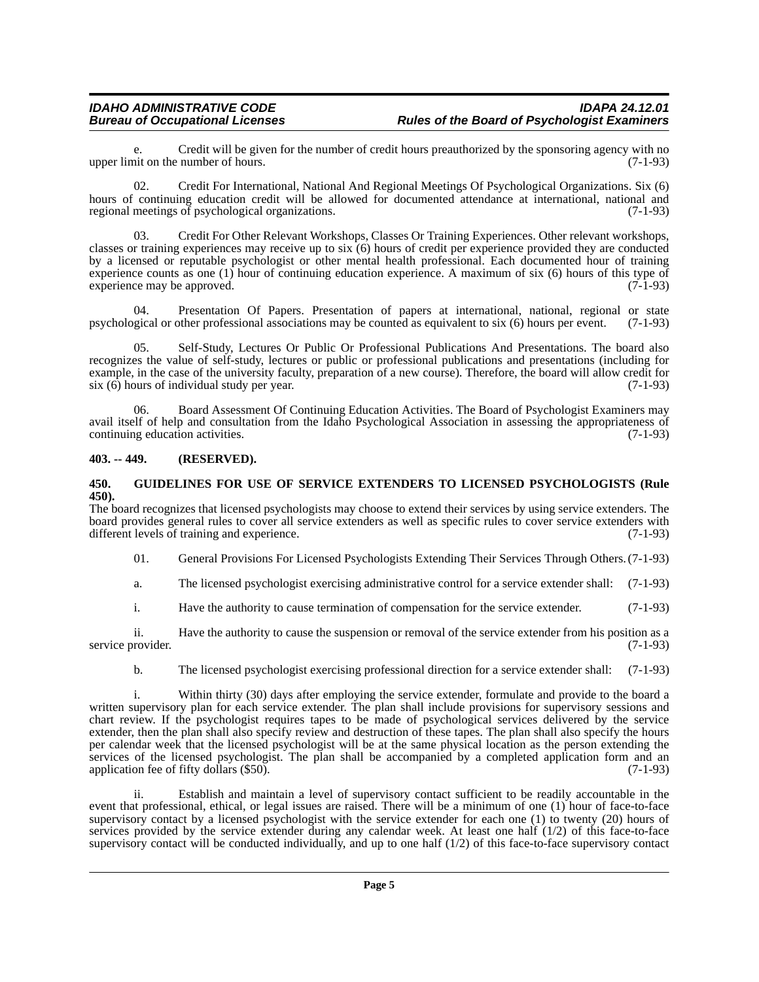Credit will be given for the number of credit hours preauthorized by the sponsoring agency with no number of hours. (7-1-93) upper limit on the number of hours.

02. Credit For International, National And Regional Meetings Of Psychological Organizations. Six (6) hours of continuing education credit will be allowed for documented attendance at international, national and regional meetings of psychological organizations. (7-1-93)

03. Credit For Other Relevant Workshops, Classes Or Training Experiences. Other relevant workshops, classes or training experiences may receive up to six (6) hours of credit per experience provided they are conducted by a licensed or reputable psychologist or other mental health professional. Each documented hour of training experience counts as one (1) hour of continuing education experience. A maximum of six (6) hours of this type of experience may be approved.  $(7-1-93)$ experience may be approved.

04. Presentation Of Papers. Presentation of papers at international, national, regional or state psychological or other professional associations may be counted as equivalent to six (6) hours per event. (7-1-93)

05. Self-Study, Lectures Or Public Or Professional Publications And Presentations. The board also recognizes the value of self-study, lectures or public or professional publications and presentations (including for example, in the case of the university faculty, preparation of a new course). Therefore, the board will allow credit for  $\sin(6)$  hours of individual study per year. (7-1-93)

06. Board Assessment Of Continuing Education Activities. The Board of Psychologist Examiners may avail itself of help and consultation from the Idaho Psychological Association in assessing the appropriateness of continuing education activities. (7-1-93) continuing education activities.

# <span id="page-4-0"></span>**403. -- 449. (RESERVED).**

#### <span id="page-4-1"></span>**450. GUIDELINES FOR USE OF SERVICE EXTENDERS TO LICENSED PSYCHOLOGISTS (Rule 450).**

The board recognizes that licensed psychologists may choose to extend their services by using service extenders. The board provides general rules to cover all service extenders as well as specific rules to cover service extenders with different levels of training and experience. (7-1-93) different levels of training and experience.

01. General Provisions For Licensed Psychologists Extending Their Services Through Others. (7-1-93)

a. The licensed psychologist exercising administrative control for a service extender shall: (7-1-93)

i. Have the authority to cause termination of compensation for the service extender. (7-1-93)

ii. Have the authority to cause the suspension or removal of the service extender from his position as a provider. (7-1-93) service provider.

b. The licensed psychologist exercising professional direction for a service extender shall: (7-1-93)

i. Within thirty (30) days after employing the service extender, formulate and provide to the board a written supervisory plan for each service extender. The plan shall include provisions for supervisory sessions and chart review. If the psychologist requires tapes to be made of psychological services delivered by the service extender, then the plan shall also specify review and destruction of these tapes. The plan shall also specify the hours per calendar week that the licensed psychologist will be at the same physical location as the person extending the services of the licensed psychologist. The plan shall be accompanied by a completed application form and an application fee of fifty dollars (\$50). application fee of fifty dollars  $(\$50)$ .

ii. Establish and maintain a level of supervisory contact sufficient to be readily accountable in the event that professional, ethical, or legal issues are raised. There will be a minimum of one (1) hour of face-to-face supervisory contact by a licensed psychologist with the service extender for each one (1) to twenty (20) hours of services provided by the service extender during any calendar week. At least one half (1/2) of this face-to-face supervisory contact will be conducted individually, and up to one half  $(1/2)$  of this face-to-face supervisory contact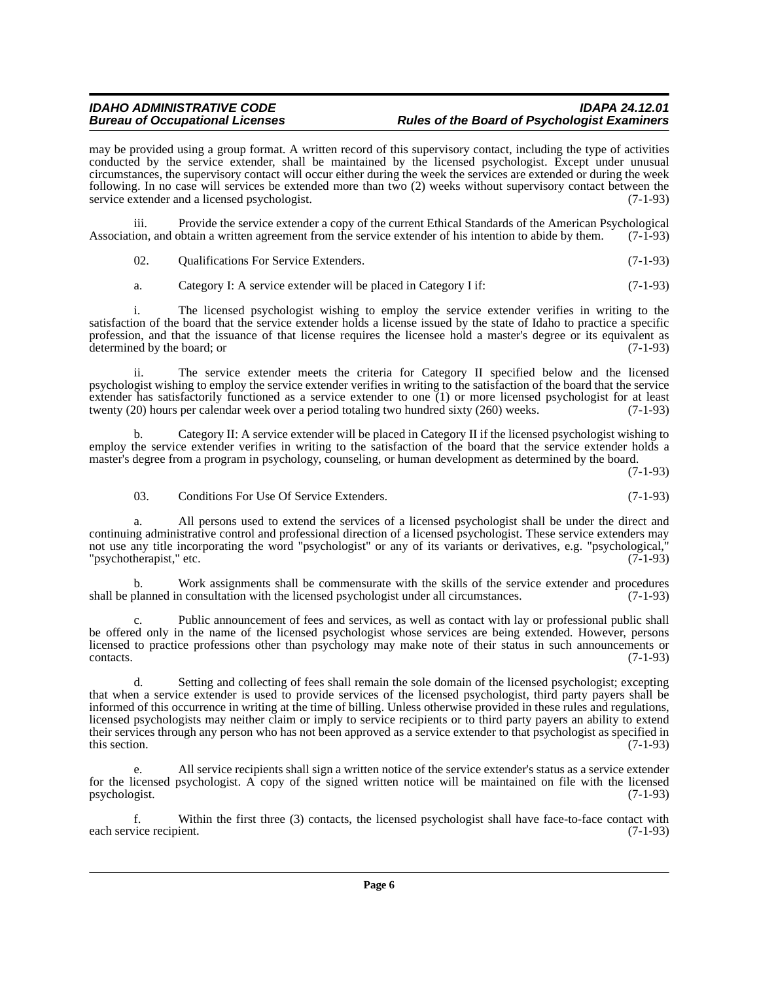may be provided using a group format. A written record of this supervisory contact, including the type of activities conducted by the service extender, shall be maintained by the licensed psychologist. Except under unusual circumstances, the supervisory contact will occur either during the week the services are extended or during the week following. In no case will services be extended more than two (2) weeks without supervisory contact between the service extender and a licensed psychologist. (7-1-93)

iii. Provide the service extender a copy of the current Ethical Standards of the American Psychological<br>ion, and obtain a written agreement from the service extender of his intention to abide by them. (7-1-93) Association, and obtain a written agreement from the service extender of his intention to abide by them.

02. Qualifications For Service Extenders. (7-1-93)

a. Category I: A service extender will be placed in Category I if: (7-1-93)

i. The licensed psychologist wishing to employ the service extender verifies in writing to the satisfaction of the board that the service extender holds a license issued by the state of Idaho to practice a specific profession, and that the issuance of that license requires the licensee hold a master's degree or its equivalent as determined by the board; or (7-1-93) determined by the board; or

ii. The service extender meets the criteria for Category II specified below and the licensed psychologist wishing to employ the service extender verifies in writing to the satisfaction of the board that the service extender has satisfactorily functioned as a service extender to one  $(1)$  or more licensed psychologist for at least twenty (20) hours per calendar week over a period totaling two hundred sixty (260) weeks. (7-1-93) twenty (20) hours per calendar week over a period totaling two hundred sixty (260) weeks.

b. Category II: A service extender will be placed in Category II if the licensed psychologist wishing to employ the service extender verifies in writing to the satisfaction of the board that the service extender holds a master's degree from a program in psychology, counseling, or human development as determined by the board.

(7-1-93)

03. Conditions For Use Of Service Extenders. (7-1-93)

a. All persons used to extend the services of a licensed psychologist shall be under the direct and continuing administrative control and professional direction of a licensed psychologist. These service extenders may not use any title incorporating the word "psychologist" or any of its variants or derivatives, e.g. "psychological," "psychotherapist," etc. (7-1-93)

b. Work assignments shall be commensurate with the skills of the service extender and procedures planned in consultation with the licensed psychologist under all circumstances. (7-1-93) shall be planned in consultation with the licensed psychologist under all circumstances.

Public announcement of fees and services, as well as contact with lay or professional public shall be offered only in the name of the licensed psychologist whose services are being extended. However, persons licensed to practice professions other than psychology may make note of their status in such announcements or contacts. (7-1-93) contacts. (7-1-93)

d. Setting and collecting of fees shall remain the sole domain of the licensed psychologist; excepting that when a service extender is used to provide services of the licensed psychologist, third party payers shall be informed of this occurrence in writing at the time of billing. Unless otherwise provided in these rules and regulations, licensed psychologists may neither claim or imply to service recipients or to third party payers an ability to extend their services through any person who has not been approved as a service extender to that psychologist as specified in this section. (7-1-93) this section.  $(7-1-93)$ 

e. All service recipients shall sign a written notice of the service extender's status as a service extender for the licensed psychologist. A copy of the signed written notice will be maintained on file with the licensed psychologist. (7-1-93) psychologist. (7-1-93)

f. Within the first three (3) contacts, the licensed psychologist shall have face-to-face contact with each service recipient.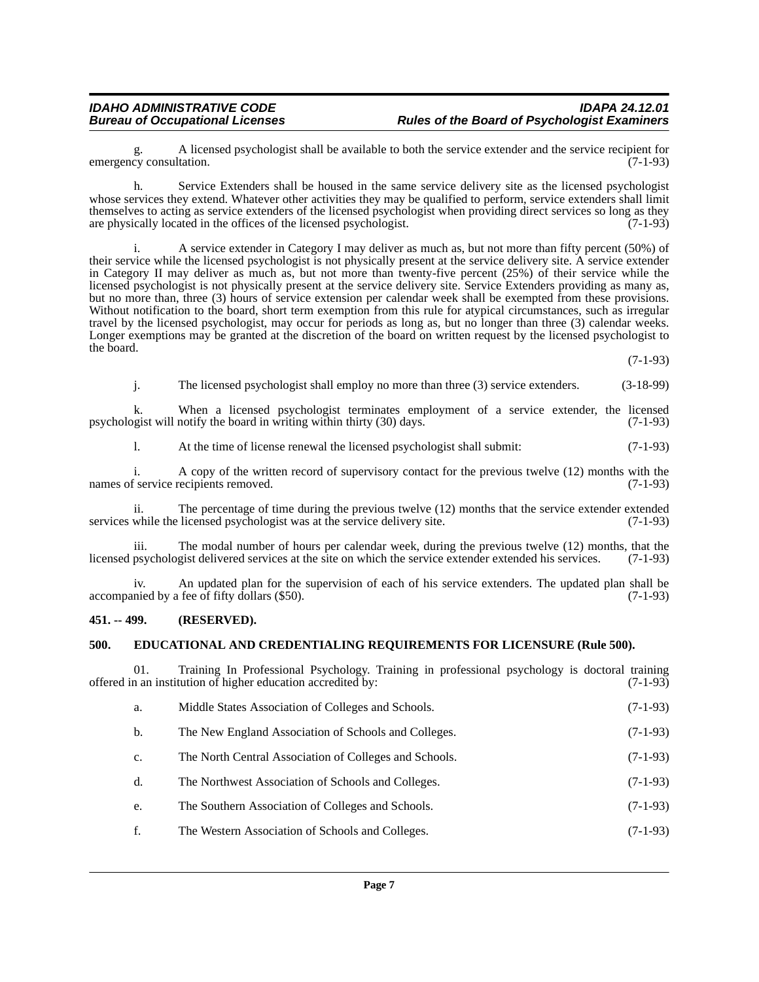g. A licensed psychologist shall be available to both the service extender and the service recipient for cy consultation. (7-1-93) emergency consultation.

h. Service Extenders shall be housed in the same service delivery site as the licensed psychologist whose services they extend. Whatever other activities they may be qualified to perform, service extenders shall limit themselves to acting as service extenders of the licensed psychologist when providing direct services so long as they are physically located in the offices of the licensed psychologist. (7-1-93) are physically located in the offices of the licensed psychologist.

i. A service extender in Category I may deliver as much as, but not more than fifty percent (50%) of their service while the licensed psychologist is not physically present at the service delivery site. A service extender in Category II may deliver as much as, but not more than twenty-five percent (25%) of their service while the licensed psychologist is not physically present at the service delivery site. Service Extenders providing as many as, but no more than, three (3) hours of service extension per calendar week shall be exempted from these provisions. Without notification to the board, short term exemption from this rule for atypical circumstances, such as irregular travel by the licensed psychologist, may occur for periods as long as, but no longer than three (3) calendar weeks. Longer exemptions may be granted at the discretion of the board on written request by the licensed psychologist to the board.

(7-1-93)

j. The licensed psychologist shall employ no more than three (3) service extenders. (3-18-99)

k. When a licensed psychologist terminates employment of a service extender, the licensed opist will notify the board in writing within thirty (30) days.  $(7-1-93)$ psychologist will notify the board in writing within thirty  $(30)$  days.

l. At the time of license renewal the licensed psychologist shall submit: (7-1-93)

i. A copy of the written record of supervisory contact for the previous twelve (12) months with the f service recipients removed. (7-1-93) names of service recipients removed.

ii. The percentage of time during the previous twelve (12) months that the service extender extended while the licensed psychologist was at the service delivery site. (7-1-93) services while the licensed psychologist was at the service delivery site.

iii. The modal number of hours per calendar week, during the previous twelve (12) months, that the licensed psychologist delivered services at the site on which the service extender extended his services. (7-1-93)

iv. An updated plan for the supervision of each of his service extenders. The updated plan shall be nied by a fee of fifty dollars (\$50). accompanied by a fee of fifty dollars (\$50).

#### <span id="page-6-0"></span>**451. -- 499. (RESERVED).**

#### <span id="page-6-1"></span>**500. EDUCATIONAL AND CREDENTIALING REQUIREMENTS FOR LICENSURE (Rule 500).**

01. Training In Professional Psychology. Training in professional psychology is doctoral training in an institution of higher education accredited by: (7-1-93) offered in an institution of higher education accredited by:

- a. Middle States Association of Colleges and Schools. (7-1-93)
- b. The New England Association of Schools and Colleges. (7-1-93)
- c. The North Central Association of Colleges and Schools. (7-1-93)
- d. The Northwest Association of Schools and Colleges. (7-1-93)
- e. The Southern Association of Colleges and Schools. (7-1-93)
- f. The Western Association of Schools and Colleges. (7-1-93)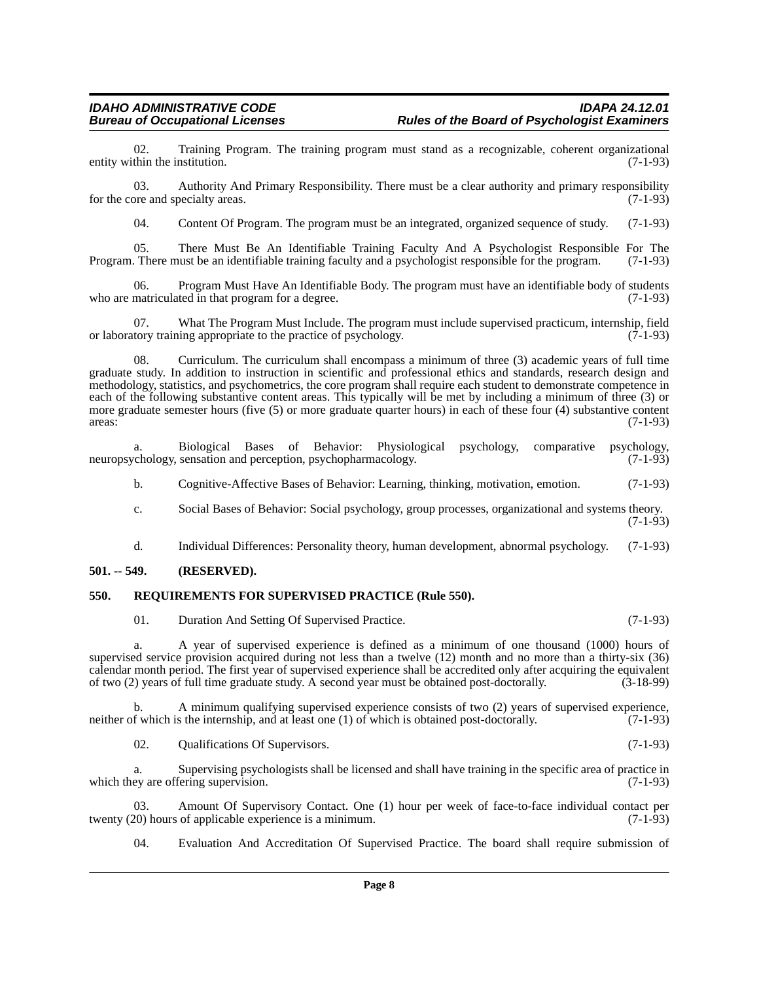02. Training Program. The training program must stand as a recognizable, coherent organizational thin the institution. (7-1-93) entity within the institution.

03. Authority And Primary Responsibility. There must be a clear authority and primary responsibility for the core and specialty areas. (7-1-93)

04. Content Of Program. The program must be an integrated, organized sequence of study. (7-1-93)

05. There Must Be An Identifiable Training Faculty And A Psychologist Responsible For The Program. There must be an identifiable training faculty and a psychologist responsible for the program. (7-1-93)

06. Program Must Have An Identifiable Body. The program must have an identifiable body of students matriculated in that program for a degree. who are matriculated in that program for a degree.

07. What The Program Must Include. The program must include supervised practicum, internship, field tory training appropriate to the practice of psychology. (7-1-93) or laboratory training appropriate to the practice of psychology.

08. Curriculum. The curriculum shall encompass a minimum of three (3) academic years of full time graduate study. In addition to instruction in scientific and professional ethics and standards, research design and methodology, statistics, and psychometrics, the core program shall require each student to demonstrate competence in each of the following substantive content areas. This typically will be met by including a minimum of three (3) or more graduate semester hours (five (5) or more graduate quarter hours) in each of these four (4) substantive content areas: (7-1-93) areas:  $(7-1-93)$ 

a. Biological Bases of Behavior: Physiological psychology, comparative psychology, neuropsychology, sensation and perception, psychopharmacology.

b. Cognitive-Affective Bases of Behavior: Learning, thinking, motivation, emotion. (7-1-93)

- c. Social Bases of Behavior: Social psychology, group processes, organizational and systems theory.  $(7-1-93)$
- d. Individual Differences: Personality theory, human development, abnormal psychology. (7-1-93)

#### <span id="page-7-0"></span>**501. -- 549. (RESERVED).**

#### <span id="page-7-1"></span>**550. REQUIREMENTS FOR SUPERVISED PRACTICE (Rule 550).**

01. Duration And Setting Of Supervised Practice. (7-1-93)

a. A year of supervised experience is defined as a minimum of one thousand (1000) hours of supervised service provision acquired during not less than a twelve (12) month and no more than a thirty-six (36) calendar month period. The first year of supervised experience shall be accredited only after acquiring the equivalent of two (2) years of full time graduate study. A second year must be obtained post-doctorally. (3-18-99) of two (2) years of full time graduate study. A second year must be obtained post-doctorally. (3-18-99)

b. A minimum qualifying supervised experience consists of two (2) years of supervised experience, f which is the internship, and at least one (1) of which is obtained post-doctorally. (7-1-93) neither of which is the internship, and at least one  $(1)$  of which is obtained post-doctorally.

02. Qualifications Of Supervisors. (7-1-93)

a. Supervising psychologists shall be licensed and shall have training in the specific area of practice in which they are offering supervision. (7-1-93)

03. Amount Of Supervisory Contact. One (1) hour per week of face-to-face individual contact per 0.0) hours of applicable experience is a minimum. twenty  $(20)$  hours of applicable experience is a minimum.

04. Evaluation And Accreditation Of Supervised Practice. The board shall require submission of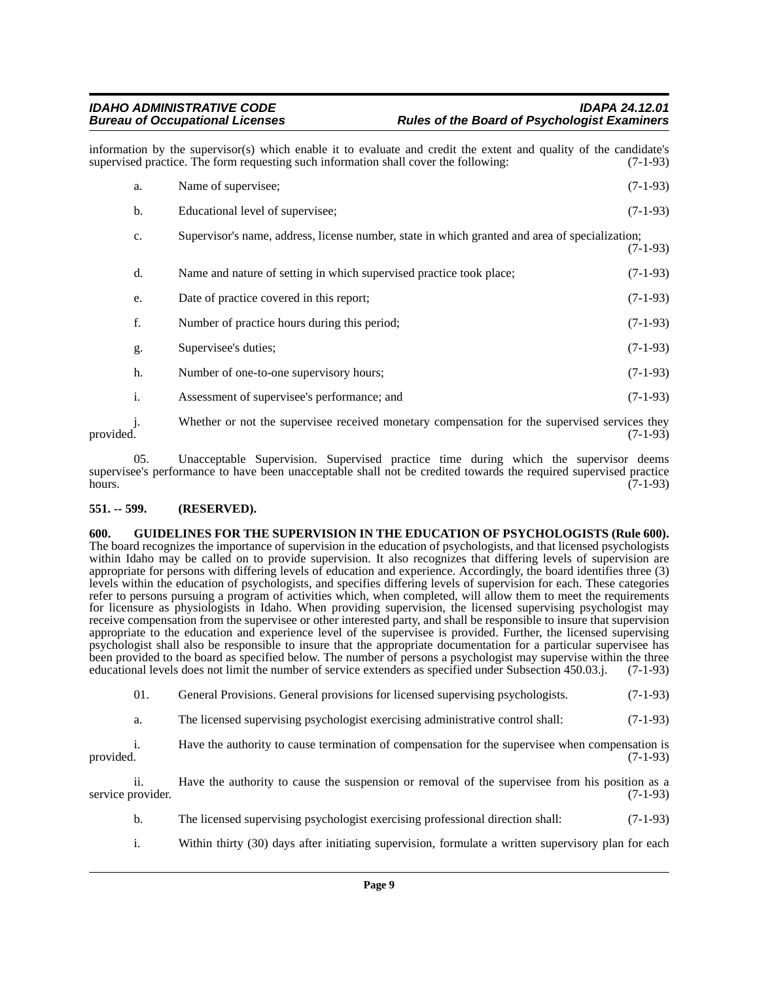information by the supervisor(s) which enable it to evaluate and credit the extent and quality of the candidate's supervised practice. The form requesting such information shall cover the following: (7-1-93) supervised practice. The form requesting such information shall cover the following:

| a.             | Name of supervisee;                                                                            | $(7-1-93)$ |
|----------------|------------------------------------------------------------------------------------------------|------------|
| b.             | Educational level of supervisee;                                                               | $(7-1-93)$ |
| $\mathbf{c}$ . | Supervisor's name, address, license number, state in which granted and area of specialization; | $(7-1-93)$ |
| d.             | Name and nature of setting in which supervised practice took place;                            | $(7-1-93)$ |
| e.             | Date of practice covered in this report;                                                       | $(7-1-93)$ |
| f.             | Number of practice hours during this period;                                                   | $(7-1-93)$ |
| g.             | Supervisee's duties;                                                                           | $(7-1-93)$ |
| h.             | Number of one-to-one supervisory hours;                                                        | $(7-1-93)$ |
| $\mathbf{i}$ . | Assessment of supervisee's performance; and                                                    | $(7-1-93)$ |
| j.             | Whether or not the supervisee received monetary compensation for the supervised services they  |            |

provided. (7-1-93)

05. Unacceptable Supervision. Supervised practice time during which the supervisor deems supervisee's performance to have been unacceptable shall not be credited towards the required supervised practice<br>(7-1-93) hours.  $(7-1-93)$ 

# <span id="page-8-0"></span>**551. -- 599. (RESERVED).**

<span id="page-8-1"></span>**600. GUIDELINES FOR THE SUPERVISION IN THE EDUCATION OF PSYCHOLOGISTS (Rule 600).** The board recognizes the importance of supervision in the education of psychologists, and that licensed psychologists within Idaho may be called on to provide supervision. It also recognizes that differing levels of supervision are appropriate for persons with differing levels of education and experience. Accordingly, the board identifies three (3) levels within the education of psychologists, and specifies differing levels of supervision for each. These categories refer to persons pursuing a program of activities which, when completed, will allow them to meet the requirements for licensure as physiologists in Idaho. When providing supervision, the licensed supervising psychologist may receive compensation from the supervisee or other interested party, and shall be responsible to insure that supervision appropriate to the education and experience level of the supervisee is provided. Further, the licensed supervising psychologist shall also be responsible to insure that the appropriate documentation for a particular supervisee has been provided to the board as specified below. The number of persons a psychologist may supervise within the three educational levels does not limit the number of service extenders as specified under Subsection 450.03.j. (7-1-93)

01. General Provisions. General provisions for licensed supervising psychologists. (7-1-93)

a. The licensed supervising psychologist exercising administrative control shall: (7-1-93)

i. Have the authority to cause termination of compensation for the supervisee when compensation is provided. (7-1-93) provided. (7-1-93)

ii. Have the authority to cause the suspension or removal of the supervisee from his position as a service provider. (7-1-93)

- b. The licensed supervising psychologist exercising professional direction shall: (7-1-93)
- i. Within thirty (30) days after initiating supervision, formulate a written supervisory plan for each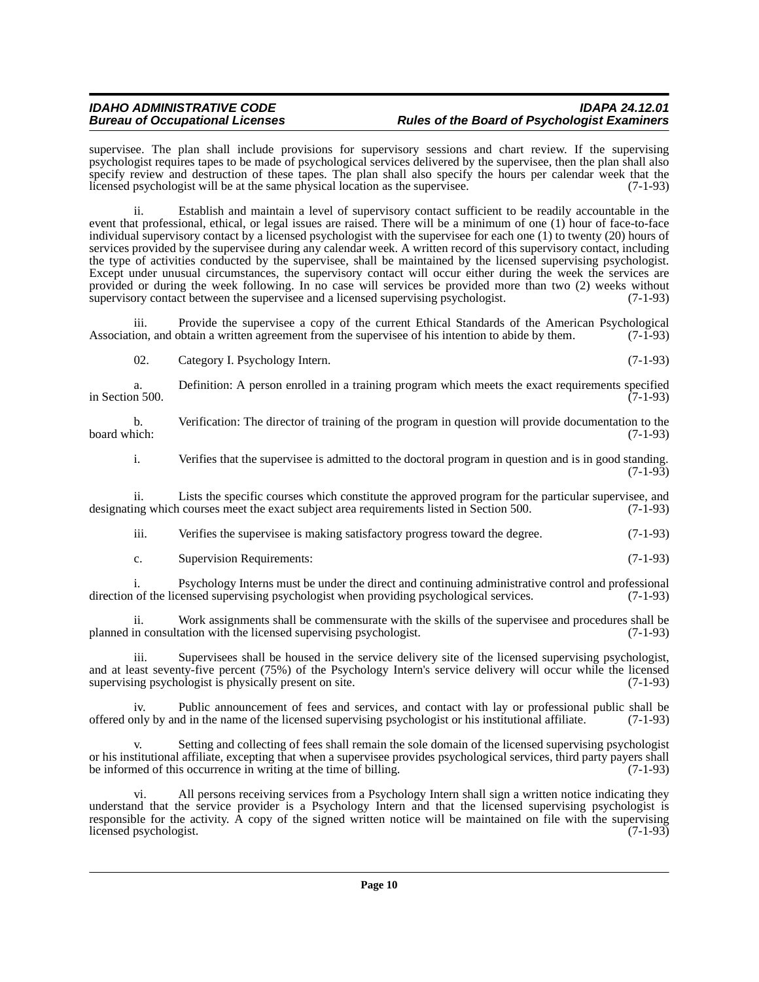### *IDAHO ADMINISTRATIVE CODE IDAPA 24.12.01* **Rules of the Board of Psychologist Examiners**

supervisee. The plan shall include provisions for supervisory sessions and chart review. If the supervising psychologist requires tapes to be made of psychological services delivered by the supervisee, then the plan shall also specify review and destruction of these tapes. The plan shall also specify the hours per calendar week that the licensed psychologist will be at the same physical location as the supervisee. (7-1-93)

ii. Establish and maintain a level of supervisory contact sufficient to be readily accountable in the event that professional, ethical, or legal issues are raised. There will be a minimum of one (1) hour of face-to-face individual supervisory contact by a licensed psychologist with the supervisee for each one (1) to twenty (20) hours of services provided by the supervisee during any calendar week. A written record of this supervisory contact, including the type of activities conducted by the supervisee, shall be maintained by the licensed supervising psychologist. Except under unusual circumstances, the supervisory contact will occur either during the week the services are provided or during the week following. In no case will services be provided more than two (2) weeks without supervisory contact between the supervise and a licensed supervising psychologist. (7-1-93) supervisory contact between the supervisee and a licensed supervising psychologist.

iii. Provide the supervisee a copy of the current Ethical Standards of the American Psychological lion, and obtain a written agreement from the supervisee of his intention to abide by them. (7-1-93) Association, and obtain a written agreement from the supervisee of his intention to abide by them.

| Category I. Psychology Intern. | $(7-1-93)$ |
|--------------------------------|------------|
|                                |            |

a. Definition: A person enrolled in a training program which meets the exact requirements specified in 500. in Section 500.

b. Verification: The director of training of the program in question will provide documentation to the board which: (7-1-93) board which: (7-1-93)

i. Verifies that the supervisee is admitted to the doctoral program in question and is in good standing. (7-1-93)

ii. Lists the specific courses which constitute the approved program for the particular supervisee, and ing which courses meet the exact subject area requirements listed in Section 500. (7-1-93) designating which courses meet the exact subject area requirements listed in Section 500.

iii. Verifies the supervisee is making satisfactory progress toward the degree. (7-1-93)

# c. Supervision Requirements: (7-1-93)

i. Psychology Interns must be under the direct and continuing administrative control and professional of the licensed supervising psychologist when providing psychological services. (7-1-93) direction of the licensed supervising psychologist when providing psychological services.

ii. Work assignments shall be commensurate with the skills of the supervisee and procedures shall be in consultation with the licensed supervising psychologist. (7-1-93) planned in consultation with the licensed supervising psychologist.

iii. Supervisees shall be housed in the service delivery site of the licensed supervising psychologist, and at least seventy-five percent (75%) of the Psychology Intern's service delivery will occur while the licensed supervising psychologist is physically present on site. (7-1-93) supervising psychologist is physically present on site.

iv. Public announcement of fees and services, and contact with lay or professional public shall be name of the licensed supervising psychologist or his institutional affiliate. (7-1-93) offered only by and in the name of the licensed supervising psychologist or his institutional affiliate. (7-1-93)

Setting and collecting of fees shall remain the sole domain of the licensed supervising psychologist or his institutional affiliate, excepting that when a supervisee provides psychological services, third party payers shall<br>be informed of this occurrence in writing at the time of billing. be informed of this occurrence in writing at the time of billing.

vi. All persons receiving services from a Psychology Intern shall sign a written notice indicating they understand that the service provider is a Psychology Intern and that the licensed supervising psychologist is responsible for the activity. A copy of the signed written notice will be maintained on file with the supervising licensed psychologist. (7-1-93) licensed psychologist.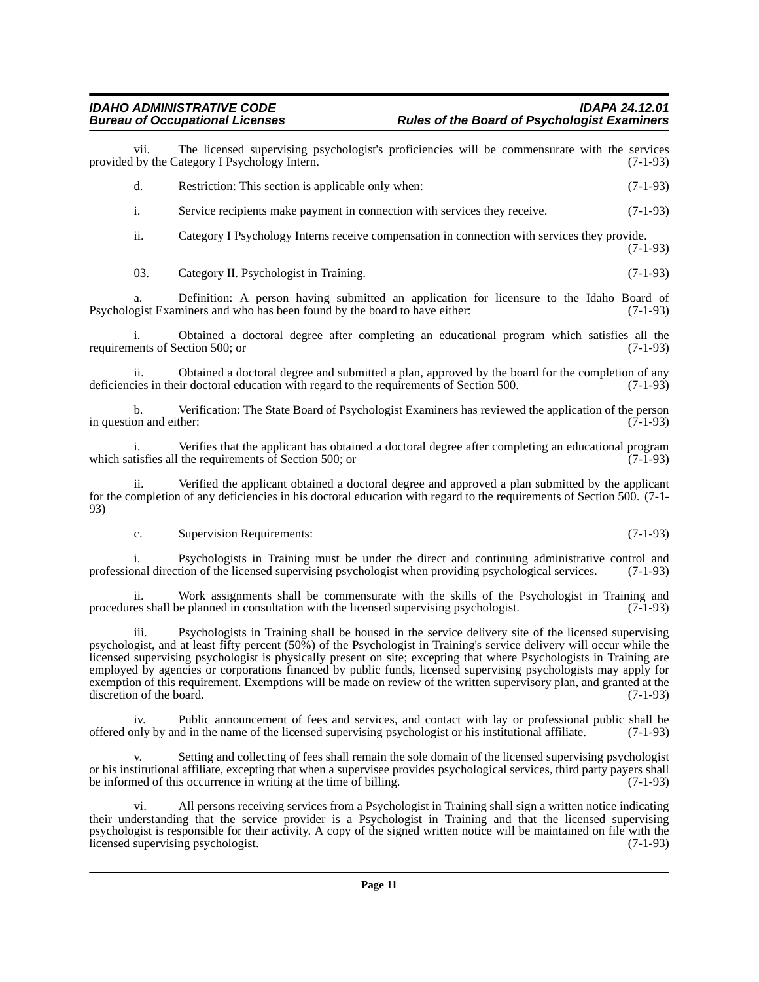# *IDAHO ADMINISTRATIVE CODE IDAPA 24.12.01* **Rules of the Board of Psychologist Examiners**

vii. The licensed supervising psychologist's proficiencies will be commensurate with the services by the Category I Psychology Intern. (7-1-93) provided by the Category I Psychology Intern.

d. Restriction: This section is applicable only when: (7-1-93)

i. Service recipients make payment in connection with services they receive. (7-1-93)

ii. Category I Psychology Interns receive compensation in connection with services they provide. (7-1-93)

03. Category II. Psychologist in Training. (7-1-93)

a. Definition: A person having submitted an application for licensure to the Idaho Board of opeist Examiners and who has been found by the board to have either: (7-1-93) Psychologist Examiners and who has been found by the board to have either:

i. Obtained a doctoral degree after completing an educational program which satisfies all the lents of Section 500; or (7-1-93) requirements of Section 500; or

ii. Obtained a doctoral degree and submitted a plan, approved by the board for the completion of any is in their doctoral education with regard to the requirements of Section 500. (7-1-93) deficiencies in their doctoral education with regard to the requirements of Section 500.

b. Verification: The State Board of Psychologist Examiners has reviewed the application of the person on and either: (7-1-93) in question and either:

Verifies that the applicant has obtained a doctoral degree after completing an educational program<br>the requirements of Section 500; or which satisfies all the requirements of Section  $500$ ; or

ii. Verified the applicant obtained a doctoral degree and approved a plan submitted by the applicant for the completion of any deficiencies in his doctoral education with regard to the requirements of Section 500. (7-1- 93)

c. Supervision Requirements: (7-1-93)

i. Psychologists in Training must be under the direct and continuing administrative control and onal direction of the licensed supervising psychologist when providing psychological services. (7-1-93) professional direction of the licensed supervising psychologist when providing psychological services.

ii. Work assignments shall be commensurate with the skills of the Psychologist in Training and es shall be planned in consultation with the licensed supervising psychologist. (7-1-93) procedures shall be planned in consultation with the licensed supervising psychologist.

iii. Psychologists in Training shall be housed in the service delivery site of the licensed supervising psychologist, and at least fifty percent (50%) of the Psychologist in Training's service delivery will occur while the licensed supervising psychologist is physically present on site; excepting that where Psychologists in Training are employed by agencies or corporations financed by public funds, licensed supervising psychologists may apply for exemption of this requirement. Exemptions will be made on review of the written supervisory plan, and granted at the discretion of the board. (7-1-93) discretion of the board.

iv. Public announcement of fees and services, and contact with lay or professional public shall be offered only by and in the name of the licensed supervising psychologist or his institutional affiliate. (7-1-93)

Setting and collecting of fees shall remain the sole domain of the licensed supervising psychologist or his institutional affiliate, excepting that when a supervisee provides psychological services, third party payers shall be informed of this occurrence in writing at the time of billing. (7-1-93)

vi. All persons receiving services from a Psychologist in Training shall sign a written notice indicating their understanding that the service provider is a Psychologist in Training and that the licensed supervising psychologist is responsible for their activity. A copy of the signed written notice will be maintained on file with the licensed supervising psychologist. (7-1-93) licensed supervising psychologist.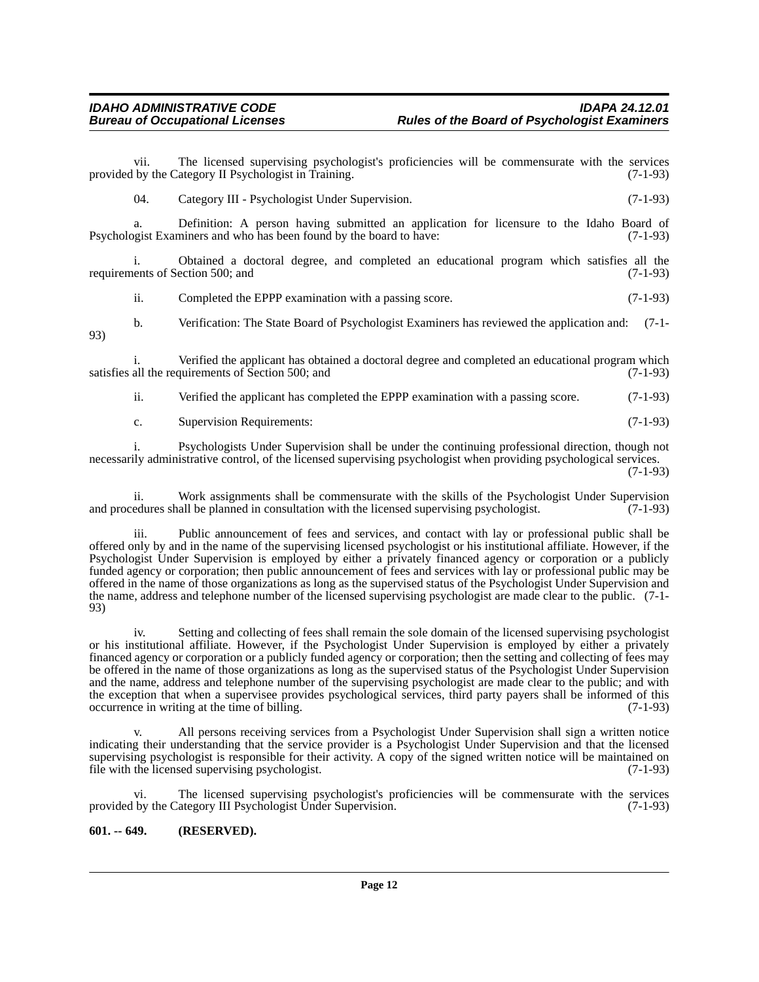93)

vii. The licensed supervising psychologist's proficiencies will be commensurate with the services by the Category II Psychologist in Training. (7-1-93) provided by the Category II Psychologist in Training.

04. Category III - Psychologist Under Supervision. (7-1-93)

a. Definition: A person having submitted an application for licensure to the Idaho Board of gist Examiners and who has been found by the board to have: (7-1-93) Psychologist Examiners and who has been found by the board to have:

i. Obtained a doctoral degree, and completed an educational program which satisfies all the requirements of Section 500; and

ii. Completed the EPPP examination with a passing score. (7-1-93)

b. Verification: The State Board of Psychologist Examiners has reviewed the application and: (7-1-

i. Verified the applicant has obtained a doctoral degree and completed an educational program which satisfies all the requirements of Section 500; and (7-1-93)

ii. Verified the applicant has completed the EPPP examination with a passing score. (7-1-93)

c. Supervision Requirements: (7-1-93)

i. Psychologists Under Supervision shall be under the continuing professional direction, though not necessarily administrative control, of the licensed supervising psychologist when providing psychological services. (7-1-93)

ii. Work assignments shall be commensurate with the skills of the Psychologist Under Supervision edures shall be planned in consultation with the licensed supervising psychologist. (7-1-93) and procedures shall be planned in consultation with the licensed supervising psychologist.

iii. Public announcement of fees and services, and contact with lay or professional public shall be offered only by and in the name of the supervising licensed psychologist or his institutional affiliate. However, if the Psychologist Under Supervision is employed by either a privately financed agency or corporation or a publicly funded agency or corporation; then public announcement of fees and services with lay or professional public may be offered in the name of those organizations as long as the supervised status of the Psychologist Under Supervision and the name, address and telephone number of the licensed supervising psychologist are made clear to the public. (7-1- 93)

iv. Setting and collecting of fees shall remain the sole domain of the licensed supervising psychologist or his institutional affiliate. However, if the Psychologist Under Supervision is employed by either a privately financed agency or corporation or a publicly funded agency or corporation; then the setting and collecting of fees may be offered in the name of those organizations as long as the supervised status of the Psychologist Under Supervision and the name, address and telephone number of the supervising psychologist are made clear to the public; and with the exception that when a supervisee provides psychological services, third party payers shall be informed of this occurrence in writing at the time of billing. (7-1-93) occurrence in writing at the time of billing.

All persons receiving services from a Psychologist Under Supervision shall sign a written notice indicating their understanding that the service provider is a Psychologist Under Supervision and that the licensed supervising psychologist is responsible for their activity. A copy of the signed written notice will be maintained on file with the licensed supervising psychologist. (7-1-93) file with the licensed supervising psychologist.

vi. The licensed supervising psychologist's proficiencies will be commensurate with the services by the Category III Psychologist Under Supervision. (7-1-93) provided by the Category III Psychologist Under Supervision.

#### <span id="page-11-0"></span>**601. -- 649. (RESERVED).**